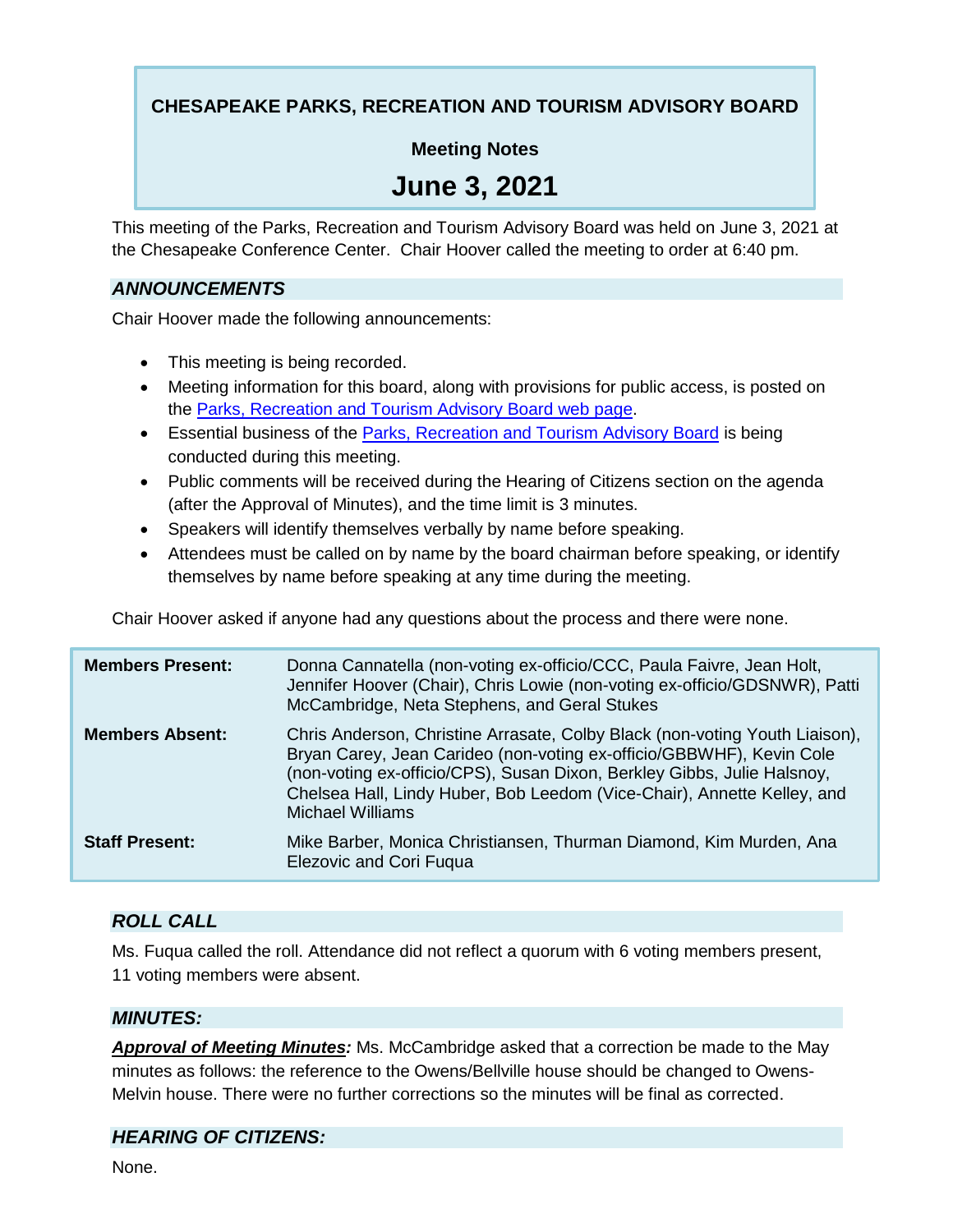# **CHESAPEAKE PARKS, RECREATION AND TOURISM ADVISORY BOARD**

# **Meeting Notes**

# **June 3, 2021**

This meeting of the Parks, Recreation and Tourism Advisory Board was held on June 3, 2021 at the Chesapeake Conference Center. Chair Hoover called the meeting to order at 6:40 pm.

#### *ANNOUNCEMENTS*

Chair Hoover made the following announcements:

- This meeting is being recorded.
- Meeting information for this board, along with provisions for public access, is posted on the Parks, Recreation and Tourism Advisory Board web page.
- **Essential business of the Parks, Recreation and Tourism Advisory Board is being** conducted during this meeting.
- Public comments will be received during the Hearing of Citizens section on the agenda (after the Approval of Minutes), and the time limit is 3 minutes.
- Speakers will identify themselves verbally by name before speaking.
- Attendees must be called on by name by the board chairman before speaking, or identify themselves by name before speaking at any time during the meeting.

Chair Hoover asked if anyone had any questions about the process and there were none.

| <b>Members Present:</b> | Donna Cannatella (non-voting ex-officio/CCC, Paula Faivre, Jean Holt,<br>Jennifer Hoover (Chair), Chris Lowie (non-voting ex-officio/GDSNWR), Patti<br>McCambridge, Neta Stephens, and Geral Stukes                                                                                                                                  |
|-------------------------|--------------------------------------------------------------------------------------------------------------------------------------------------------------------------------------------------------------------------------------------------------------------------------------------------------------------------------------|
| <b>Members Absent:</b>  | Chris Anderson, Christine Arrasate, Colby Black (non-voting Youth Liaison),<br>Bryan Carey, Jean Carideo (non-voting ex-officio/GBBWHF), Kevin Cole<br>(non-voting ex-officio/CPS), Susan Dixon, Berkley Gibbs, Julie Halsnoy,<br>Chelsea Hall, Lindy Huber, Bob Leedom (Vice-Chair), Annette Kelley, and<br><b>Michael Williams</b> |
| <b>Staff Present:</b>   | Mike Barber, Monica Christiansen, Thurman Diamond, Kim Murden, Ana<br><b>Elezovic and Cori Fuqua</b>                                                                                                                                                                                                                                 |

# *ROLL CALL*

Ms. Fuqua called the roll. Attendance did not reflect a quorum with 6 voting members present, 11 voting members were absent.

#### *MINUTES:*

*Approval of Meeting Minutes:* Ms. McCambridge asked that a correction be made to the May minutes as follows: the reference to the Owens/Bellville house should be changed to Owens-Melvin house. There were no further corrections so the minutes will be final as corrected.

# *HEARING OF CITIZENS:*

None.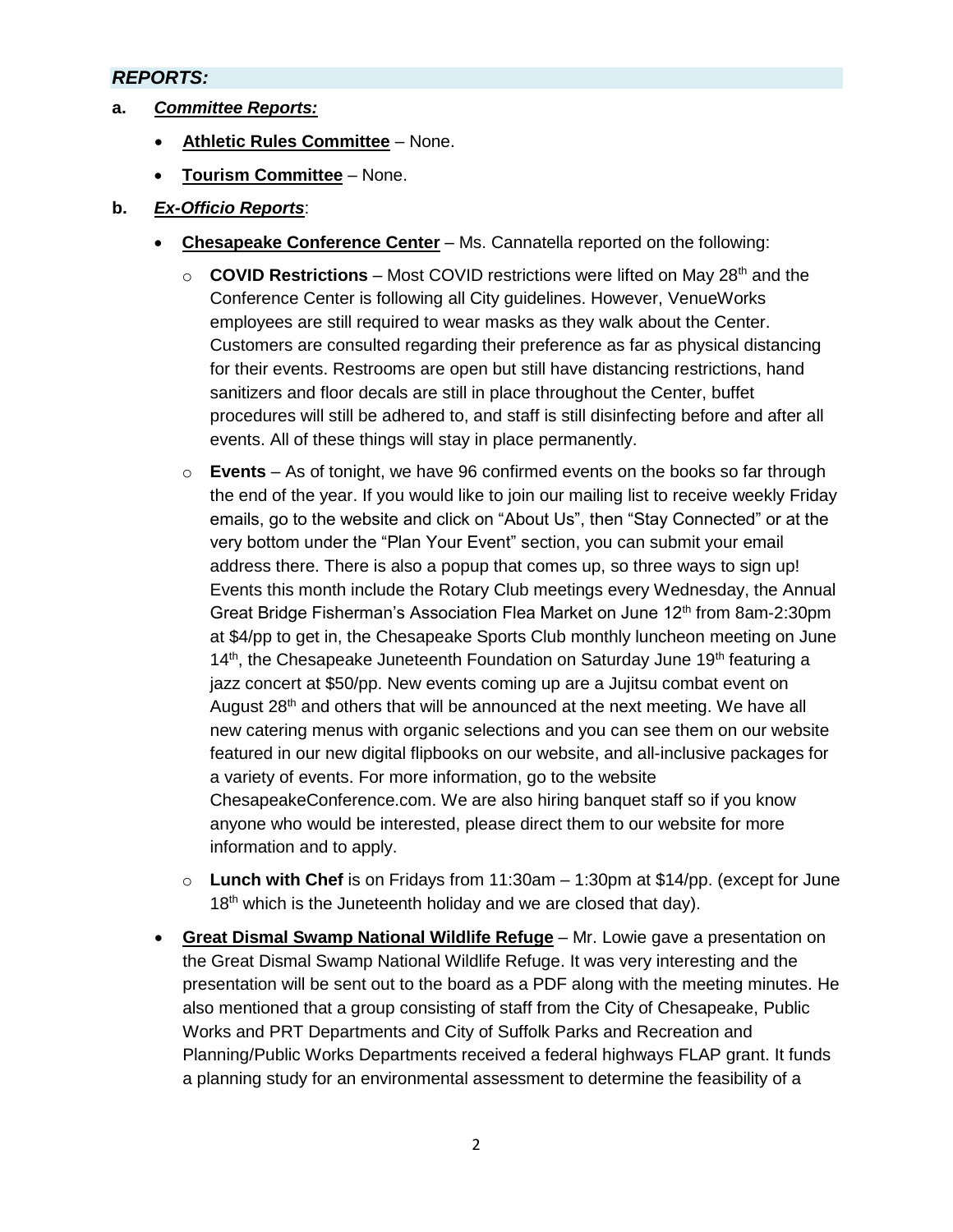#### *REPORTS:*

- **a.** *Committee Reports:*
	- **Athletic Rules Committee** None.
	- **Tourism Committee** None.
- **b.** *Ex-Officio Reports*:
	- **Chesapeake Conference Center** Ms. Cannatella reported on the following:
		- o **COVID Restrictions** Most COVID restrictions were lifted on May 28<sup>th</sup> and the Conference Center is following all City guidelines. However, VenueWorks employees are still required to wear masks as they walk about the Center. Customers are consulted regarding their preference as far as physical distancing for their events. Restrooms are open but still have distancing restrictions, hand sanitizers and floor decals are still in place throughout the Center, buffet procedures will still be adhered to, and staff is still disinfecting before and after all events. All of these things will stay in place permanently.
		- o **Events** As of tonight, we have 96 confirmed events on the books so far through the end of the year. If you would like to join our mailing list to receive weekly Friday emails, go to the website and click on "About Us", then "Stay Connected" or at the very bottom under the "Plan Your Event" section, you can submit your email address there. There is also a popup that comes up, so three ways to sign up! Events this month include the Rotary Club meetings every Wednesday, the Annual Great Bridge Fisherman's Association Flea Market on June 12<sup>th</sup> from 8am-2:30pm at \$4/pp to get in, the Chesapeake Sports Club monthly luncheon meeting on June 14<sup>th</sup>, the Chesapeake Juneteenth Foundation on Saturday June 19<sup>th</sup> featuring a jazz concert at \$50/pp. New events coming up are a Jujitsu combat event on August 28<sup>th</sup> and others that will be announced at the next meeting. We have all new catering menus with organic selections and you can see them on our website featured in our new digital flipbooks on our website, and all-inclusive packages for a variety of events. For more information, go to the website ChesapeakeConference.com. We are also hiring banquet staff so if you know anyone who would be interested, please direct them to our website for more information and to apply.
		- o **Lunch with Chef** is on Fridays from 11:30am 1:30pm at \$14/pp. (except for June  $18<sup>th</sup>$  which is the Juneteenth holiday and we are closed that day).
	- **Great Dismal Swamp National Wildlife Refuge** Mr. Lowie gave a presentation on the Great Dismal Swamp National Wildlife Refuge. It was very interesting and the presentation will be sent out to the board as a PDF along with the meeting minutes. He also mentioned that a group consisting of staff from the City of Chesapeake, Public Works and PRT Departments and City of Suffolk Parks and Recreation and Planning/Public Works Departments received a federal highways FLAP grant. It funds a planning study for an environmental assessment to determine the feasibility of a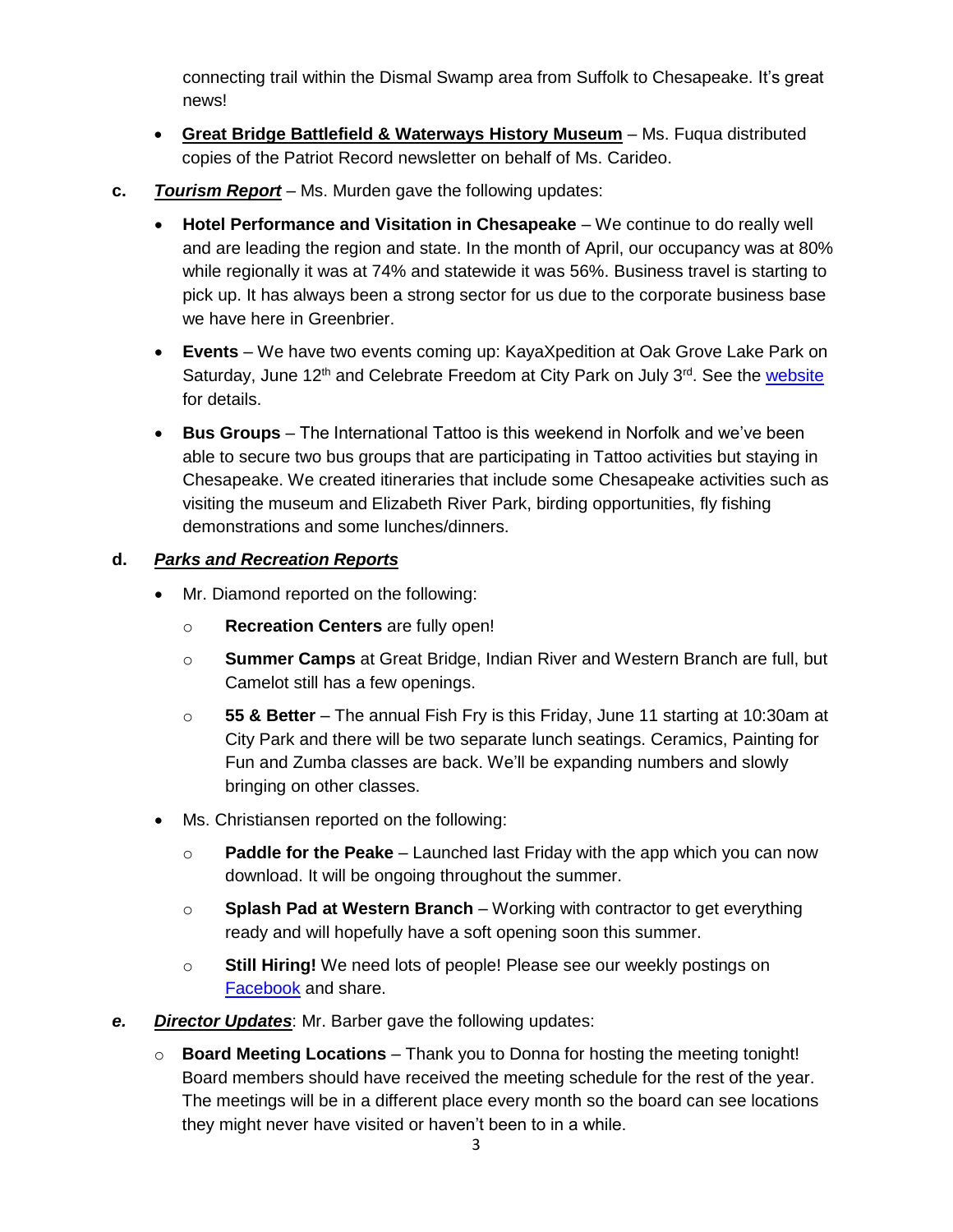connecting trail within the Dismal Swamp area from Suffolk to Chesapeake. It's great news!

- **Great Bridge Battlefield & Waterways History Museum** Ms. Fuqua distributed copies of the Patriot Record newsletter on behalf of Ms. Carideo.
- **c.** *Tourism Report* Ms. Murden gave the following updates:
	- **Hotel Performance and Visitation in Chesapeake** We continue to do really well and are leading the region and state. In the month of April, our occupancy was at 80% while regionally it was at 74% and statewide it was 56%. Business travel is starting to pick up. It has always been a strong sector for us due to the corporate business base we have here in Greenbrier.
	- **Events**  We have two events coming up: KayaXpedition at Oak Grove Lake Park on Saturday, June 12<sup>th</sup> and Celebrate Freedom at City Park on July 3<sup>rd</sup>. See the [website](https://www.cityofchesapeake.net/government/city-departments/departments/parks-recreation-tourism/events/special-events.htm) for details.
	- **Bus Groups** The International Tattoo is this weekend in Norfolk and we've been able to secure two bus groups that are participating in Tattoo activities but staying in Chesapeake. We created itineraries that include some Chesapeake activities such as visiting the museum and Elizabeth River Park, birding opportunities, fly fishing demonstrations and some lunches/dinners.

# **d.** *Parks and Recreation Reports*

- Mr. Diamond reported on the following:
	- o **Recreation Centers** are fully open!
	- o **Summer Camps** at Great Bridge, Indian River and Western Branch are full, but Camelot still has a few openings.
	- o **55 & Better** The annual Fish Fry is this Friday, June 11 starting at 10:30am at City Park and there will be two separate lunch seatings. Ceramics, Painting for Fun and Zumba classes are back. We'll be expanding numbers and slowly bringing on other classes.
- Ms. Christiansen reported on the following:
	- o **Paddle for the Peake** Launched last Friday with the app which you can now download. It will be ongoing throughout the summer.
	- o **Splash Pad at Western Branch** Working with contractor to get everything ready and will hopefully have a soft opening soon this summer.
	- o **Still Hiring!** We need lots of people! Please see our weekly postings on [Facebook](https://www.facebook.com/ChesapeakePRT) and share.
- *e. Director Updates*: Mr. Barber gave the following updates:
	- o **Board Meeting Locations** Thank you to Donna for hosting the meeting tonight! Board members should have received the meeting schedule for the rest of the year. The meetings will be in a different place every month so the board can see locations they might never have visited or haven't been to in a while.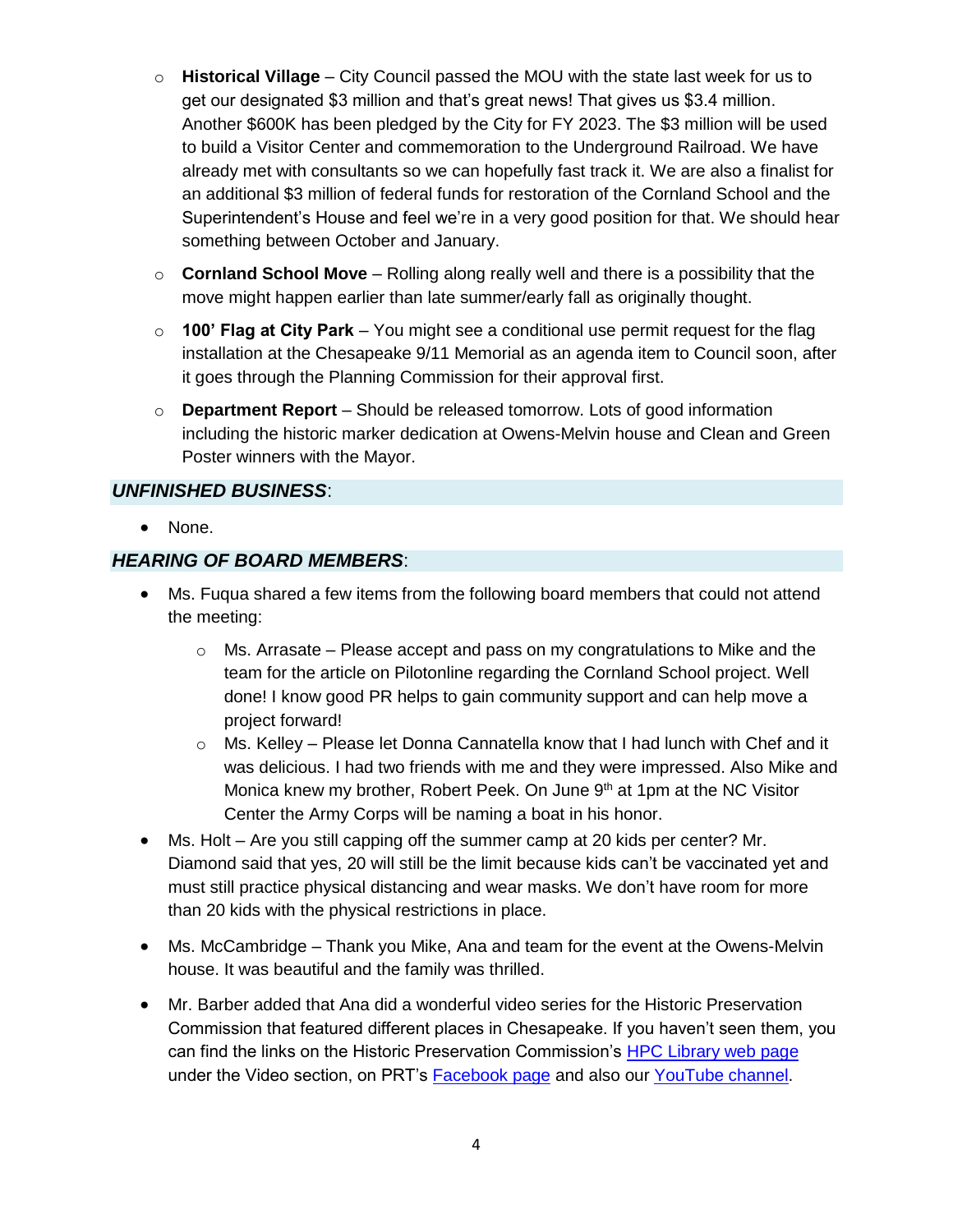- o **Historical Village** City Council passed the MOU with the state last week for us to get our designated \$3 million and that's great news! That gives us \$3.4 million. Another \$600K has been pledged by the City for FY 2023. The \$3 million will be used to build a Visitor Center and commemoration to the Underground Railroad. We have already met with consultants so we can hopefully fast track it. We are also a finalist for an additional \$3 million of federal funds for restoration of the Cornland School and the Superintendent's House and feel we're in a very good position for that. We should hear something between October and January.
- o **Cornland School Move** Rolling along really well and there is a possibility that the move might happen earlier than late summer/early fall as originally thought.
- o **100' Flag at City Park** You might see a conditional use permit request for the flag installation at the Chesapeake 9/11 Memorial as an agenda item to Council soon, after it goes through the Planning Commission for their approval first.
- o **Department Report**  Should be released tomorrow. Lots of good information including the historic marker dedication at Owens-Melvin house and Clean and Green Poster winners with the Mayor.

#### *UNFINISHED BUSINESS*:

• None.

# *HEARING OF BOARD MEMBERS*:

- Ms. Fuqua shared a few items from the following board members that could not attend the meeting:
	- $\circ$  Ms. Arrasate Please accept and pass on my congratulations to Mike and the team for the article on Pilotonline regarding the Cornland School project. Well done! I know good PR helps to gain community support and can help move a project forward!
	- $\circ$  Ms. Kelley Please let Donna Cannatella know that I had lunch with Chef and it was delicious. I had two friends with me and they were impressed. Also Mike and Monica knew my brother, Robert Peek. On June  $9<sup>th</sup>$  at 1pm at the NC Visitor Center the Army Corps will be naming a boat in his honor.
- Ms. Holt Are you still capping off the summer camp at 20 kids per center? Mr. Diamond said that yes, 20 will still be the limit because kids can't be vaccinated yet and must still practice physical distancing and wear masks. We don't have room for more than 20 kids with the physical restrictions in place.
- Ms. McCambridge Thank you Mike, Ana and team for the event at the Owens-Melvin house. It was beautiful and the family was thrilled.
- Mr. Barber added that Ana did a wonderful video series for the Historic Preservation Commission that featured different places in Chesapeake. If you haven't seen them, you can find the links on the Historic Preservation Commission's [HPC Library web page](https://www.cityofchesapeake.net/government/Boards-Commissions/full-listing/Historic-Preservation-Commission/HPC-Library.htm) under the Video section, on PRT's [Facebook page](https://www.facebook.com/ChesapeakePRT/videos/?ref=page_internal) and also our [YouTube channel.](https://www.youtube.com/channel/UC1ELjujjOccKNxb5pIg7T2g/videos)